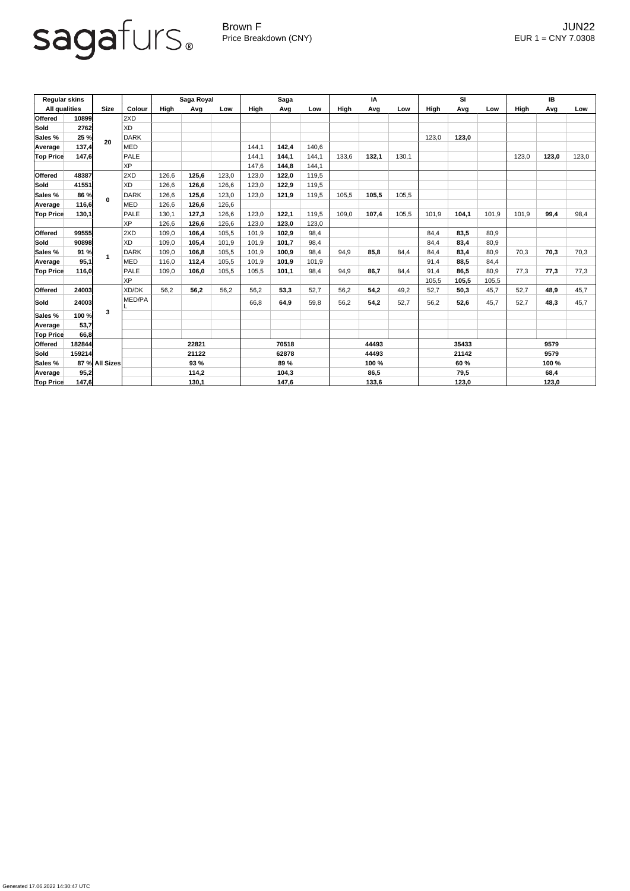Generated 17.06.2022 14:30:47 UTC

Brown F JUN22 Price Breakdown (CNY) EUR 1 = CNY 7.0308

| <b>Regular skins</b> |        |                |              | Saga Royal             |       |       | <b>Saga</b>            |       |       | IA                      |       |       | <b>SI</b>              |       |       | <b>IB</b>             |       |       |
|----------------------|--------|----------------|--------------|------------------------|-------|-------|------------------------|-------|-------|-------------------------|-------|-------|------------------------|-------|-------|-----------------------|-------|-------|
| <b>All qualities</b> |        | <b>Size</b>    | Colour       | High                   | Avg   | Low   | <b>High</b>            | Avg   | Low   | High                    | Avg   | Low   | High                   | Avg   | Low   | High                  | Avg   | Low   |
| <b>Offered</b>       | 10899  | 20             | 2XD          |                        |       |       |                        |       |       |                         |       |       |                        |       |       |                       |       |       |
| Sold                 | 2762   |                | <b>XD</b>    |                        |       |       |                        |       |       |                         |       |       |                        |       |       |                       |       |       |
| <b>Sales %</b>       | 25 %   |                | <b>DARK</b>  |                        |       |       |                        |       |       |                         |       |       | 123,0                  | 123,0 |       |                       |       |       |
| Average              | 137,4  |                | <b>MED</b>   |                        |       |       | 144,1                  | 142,4 | 140,6 |                         |       |       |                        |       |       |                       |       |       |
| <b>Top Price</b>     | 147,6  |                | <b>PALE</b>  |                        |       |       | 144,1                  | 144,1 | 144,1 | 133,6                   | 132,1 | 130,1 |                        |       |       | 123,0                 | 123,0 | 123,0 |
|                      |        |                | <b>XP</b>    |                        |       |       | 147,6                  | 144,8 | 144,1 |                         |       |       |                        |       |       |                       |       |       |
| <b>Offered</b>       | 48387  |                | 2XD          | 126,6                  | 125,6 | 123,0 | 123,0                  | 122,0 | 119,5 |                         |       |       |                        |       |       |                       |       |       |
| Sold                 | 41551  | $\mathbf{0}$   | <b>XD</b>    | 126,6                  | 126,6 | 126,6 | 123,0                  | 122,9 | 119,5 |                         |       |       |                        |       |       |                       |       |       |
| <b>Sales %</b>       | 86 %   |                | <b>DARK</b>  | 126,6                  | 125,6 | 123,0 | 123,0                  | 121,9 | 119,5 | 105,5                   | 105,5 | 105,5 |                        |       |       |                       |       |       |
| Average              | 116,6  |                | <b>MED</b>   | 126,6                  | 126,6 | 126,6 |                        |       |       |                         |       |       |                        |       |       |                       |       |       |
| <b>Top Price</b>     | 130,1  |                | <b>PALE</b>  | 130,1                  | 127,3 | 126,6 | 123,0                  | 122,1 | 119,5 | 109,0                   | 107,4 | 105,5 | 101,9                  | 104,1 | 101,9 | 101,9                 | 99,4  | 98,4  |
|                      |        |                | <b>XP</b>    | 126,6                  | 126,6 | 126,6 | 123,0                  | 123,0 | 123,0 |                         |       |       |                        |       |       |                       |       |       |
| <b>Offered</b>       | 99555  |                | 2XD          | 109,0                  | 106,4 | 105,5 | 101,9                  | 102,9 | 98,4  |                         |       |       | 84,4                   | 83,5  | 80,9  |                       |       |       |
| Sold                 | 90898  |                | <b>XD</b>    | 109,0                  | 105,4 | 101,9 | 101,9                  | 101,7 | 98,4  |                         |       |       | 84,4                   | 83,4  | 80,9  |                       |       |       |
| <b>Sales %</b>       | 91 %   |                | <b>DARK</b>  | 109,0                  | 106,8 | 105,5 | 101,9                  | 100,9 | 98,4  | 94,9                    | 85,8  | 84,4  | 84,4                   | 83,4  | 80,9  | 70,3                  | 70,3  | 70,3  |
| Average              | 95,1   |                | <b>MED</b>   | 116,0                  | 112,4 | 105,5 | 101,9                  | 101,9 | 101,9 |                         |       |       | 91,4                   | 88,5  | 84,4  |                       |       |       |
| <b>Top Price</b>     | 116,0  |                | <b>PALE</b>  | 109,0                  | 106,0 | 105,5 | 105,5                  | 101,1 | 98,4  | 94,9                    | 86,7  | 84,4  | 91,4                   | 86,5  | 80,9  | 77,3                  | 77,3  | 77,3  |
|                      |        |                | <b>XP</b>    |                        |       |       |                        |       |       |                         |       |       | 105,5                  | 105,5 | 105,5 |                       |       |       |
| <b>Offered</b>       | 24003  |                | <b>XD/DK</b> | 56,2                   | 56,2  | 56,2  | 56,2                   | 53,3  | 52,7  | 56,2                    | 54,2  | 49,2  | 52,7                   | 50,3  | 45,7  | 52,7                  | 48,9  | 45,7  |
| Sold                 | 24003  | 3              | MED/PA       |                        |       |       | 66,8                   | 64,9  | 59,8  | 56,2                    | 54,2  | 52,7  | 56,2                   | 52,6  | 45,7  | 52,7                  | 48,3  | 45,7  |
| Sales %              | 100 %  |                |              |                        |       |       |                        |       |       |                         |       |       |                        |       |       |                       |       |       |
| Average              | 53,7   |                |              |                        |       |       |                        |       |       |                         |       |       |                        |       |       |                       |       |       |
| <b>Top Price</b>     | 66,8   |                |              |                        |       |       |                        |       |       |                         |       |       |                        |       |       |                       |       |       |
| <b>Offered</b>       | 182844 |                |              | 22821<br>21122<br>93 % |       |       | 70518<br>62878<br>89 % |       |       | 44493<br>44493<br>100 % |       |       | 35433<br>21142<br>60 % |       |       | 9579<br>9579<br>100 % |       |       |
| <b>Sold</b>          | 159214 |                |              |                        |       |       |                        |       |       |                         |       |       |                        |       |       |                       |       |       |
| <b>Sales %</b>       |        | 87 % All Sizes |              |                        |       |       |                        |       |       |                         |       |       |                        |       |       |                       |       |       |
| Average              | 95,2   |                |              |                        | 114,2 |       |                        | 104,3 |       | 86,5                    |       | 79,5  |                        |       | 68,4  |                       |       |       |
| <b>Top Price</b>     | 147,6  |                |              | <u>130,1</u>           |       |       | 147,6                  |       |       | 133,6                   |       |       | 123,0                  |       |       | 123,0                 |       |       |